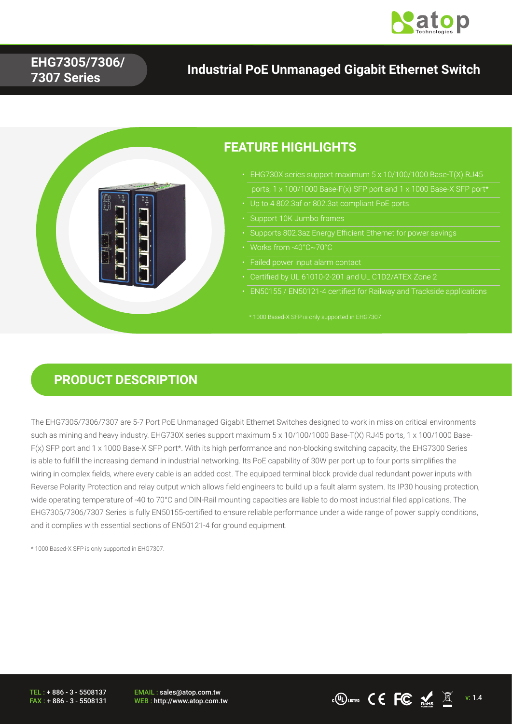

## **EHG7305/7306/ 7307 Series**

## **Industrial PoE Unmanaged Gigabit Ethernet Switch**



## **PRODUCT DESCRIPTION**

The EHG7305/7306/7307 are 5-7 Port PoE Unmanaged Gigabit Ethernet Switches designed to work in mission critical environments such as mining and heavy industry. EHG730X series support maximum 5 x 10/100/1000 Base-T(X) RJ45 ports, 1 x 100/1000 Base-F(x) SFP port and 1 x 1000 Base-X SFP port\*. With its high performance and non-blocking switching capacity, the EHG7300 Series is able to fulfill the increasing demand in industrial networking. Its PoE capability of 30W per port up to four ports simplifies the wiring in complex fields, where every cable is an added cost. The equipped terminal block provide dual redundant power inputs with Reverse Polarity Protection and relay output which allows field engineers to build up a fault alarm system. Its IP30 housing protection, wide operating temperature of -40 to 70°C and DIN-Rail mounting capacities are liable to do most industrial filed applications. The EHG7305/7306/7307 Series is fully EN50155-certified to ensure reliable performance under a wide range of power supply conditions, and it complies with essential sections of EN50121-4 for ground equipment.

\* 1000 Based-X SFP is only supported in EHG7307.

TEL : + 886 - 3 - 5508137 FAX : + 886 - 3 - 5508131

EMAIL : sales@atop.com.tw EMAIL: sales@atop.com.tw<br>WEB : http://www.atop.com.tw v: 1.4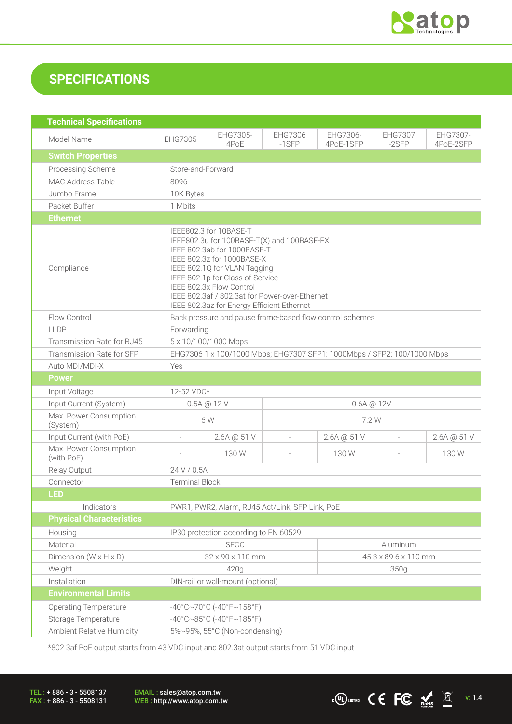

## **SPECIFICATIONS**

| <b>Technical Specifications</b>      |                                                                                                                                                                                                                                                                                                                                   |                  |                          |                       |                           |                       |
|--------------------------------------|-----------------------------------------------------------------------------------------------------------------------------------------------------------------------------------------------------------------------------------------------------------------------------------------------------------------------------------|------------------|--------------------------|-----------------------|---------------------------|-----------------------|
| Model Name                           | EHG7305                                                                                                                                                                                                                                                                                                                           | EHG7305-<br>4PoE | EHG7306<br>$-1$ SFP      | EHG7306-<br>4PoE-1SFP | <b>EHG7307</b><br>$-2SFP$ | EHG7307-<br>4PoE-2SFP |
| <b>Switch Properties</b>             |                                                                                                                                                                                                                                                                                                                                   |                  |                          |                       |                           |                       |
| Processing Scheme                    | Store-and-Forward                                                                                                                                                                                                                                                                                                                 |                  |                          |                       |                           |                       |
| MAC Address Table                    | 8096                                                                                                                                                                                                                                                                                                                              |                  |                          |                       |                           |                       |
| Jumbo Frame                          | 10K Bytes                                                                                                                                                                                                                                                                                                                         |                  |                          |                       |                           |                       |
| Packet Buffer                        | 1 Mbits                                                                                                                                                                                                                                                                                                                           |                  |                          |                       |                           |                       |
| <b>Ethernet</b>                      |                                                                                                                                                                                                                                                                                                                                   |                  |                          |                       |                           |                       |
| Compliance                           | IEEE802.3 for 10BASE-T<br>IEEE802.3u for 100BASE-T(X) and 100BASE-FX<br>IEEE 802.3ab for 1000BASE-T<br>IEEE 802.3z for 1000BASE-X<br>IEEE 802.1Q for VLAN Tagging<br>IEEE 802.1p for Class of Service<br>IEEE 802.3x Flow Control<br>IEEE 802.3af / 802.3at for Power-over-Ethernet<br>IEEE 802.3az for Energy Efficient Ethernet |                  |                          |                       |                           |                       |
| Flow Control                         | Back pressure and pause frame-based flow control schemes                                                                                                                                                                                                                                                                          |                  |                          |                       |                           |                       |
| LLDP                                 | Forwarding                                                                                                                                                                                                                                                                                                                        |                  |                          |                       |                           |                       |
| Transmission Rate for RJ45           | 5 x 10/100/1000 Mbps                                                                                                                                                                                                                                                                                                              |                  |                          |                       |                           |                       |
| Transmission Rate for SFP            | EHG7306 1 x 100/1000 Mbps; EHG7307 SFP1: 1000Mbps / SFP2: 100/1000 Mbps                                                                                                                                                                                                                                                           |                  |                          |                       |                           |                       |
| Auto MDI/MDI-X                       | Yes                                                                                                                                                                                                                                                                                                                               |                  |                          |                       |                           |                       |
| <b>Power</b>                         |                                                                                                                                                                                                                                                                                                                                   |                  |                          |                       |                           |                       |
| Input Voltage                        | 12-52 VDC*                                                                                                                                                                                                                                                                                                                        |                  |                          |                       |                           |                       |
| Input Current (System)               | $0.5A \text{ (}0.12 \text{ V}$<br>$0.6A \t@ 12V$                                                                                                                                                                                                                                                                                  |                  |                          |                       |                           |                       |
| Max. Power Consumption<br>(System)   | 6W                                                                                                                                                                                                                                                                                                                                |                  | 7.2 W                    |                       |                           |                       |
| Input Current (with PoE)             | $\overline{a}$                                                                                                                                                                                                                                                                                                                    | 2.6A @ 51 V      | $\overline{\phantom{a}}$ | 2.6A @ 51 V           | $\overline{\phantom{a}}$  | 2.6A @ 51 V           |
| Max. Power Consumption<br>(with PoE) |                                                                                                                                                                                                                                                                                                                                   | 130 W            |                          | 130 W                 |                           | 130W                  |
| Relay Output                         | 24 V / 0.5A                                                                                                                                                                                                                                                                                                                       |                  |                          |                       |                           |                       |
| Connector                            | <b>Terminal Block</b>                                                                                                                                                                                                                                                                                                             |                  |                          |                       |                           |                       |
| <b>LED</b>                           |                                                                                                                                                                                                                                                                                                                                   |                  |                          |                       |                           |                       |
| Indicators                           | PWR1, PWR2, Alarm, RJ45 Act/Link, SFP Link, PoE                                                                                                                                                                                                                                                                                   |                  |                          |                       |                           |                       |
| <b>Physical Characteristics</b>      |                                                                                                                                                                                                                                                                                                                                   |                  |                          |                       |                           |                       |
| Housing                              | IP30 protection according to EN 60529                                                                                                                                                                                                                                                                                             |                  |                          |                       |                           |                       |
| Material                             | <b>SECC</b><br>Aluminum                                                                                                                                                                                                                                                                                                           |                  |                          |                       |                           |                       |
| Dimension $(W \times H \times D)$    | 32 x 90 x 110 mm                                                                                                                                                                                                                                                                                                                  |                  |                          | 45.3 x 89.6 x 110 mm  |                           |                       |
| Weight                               | 420g                                                                                                                                                                                                                                                                                                                              |                  |                          | 350g                  |                           |                       |
| Installation                         | DIN-rail or wall-mount (optional)                                                                                                                                                                                                                                                                                                 |                  |                          |                       |                           |                       |
| <b>Environmental Limits</b>          |                                                                                                                                                                                                                                                                                                                                   |                  |                          |                       |                           |                       |
| <b>Operating Temperature</b>         | $-40^{\circ}$ C $\sim$ 70°C (-40°F $\sim$ 158°F)                                                                                                                                                                                                                                                                                  |                  |                          |                       |                           |                       |
| Storage Temperature                  | $-40^{\circ}$ C $\sim$ 85°C (-40°F $\sim$ 185°F)                                                                                                                                                                                                                                                                                  |                  |                          |                       |                           |                       |
| Ambient Relative Humidity            | 5%~95%, 55°C (Non-condensing)                                                                                                                                                                                                                                                                                                     |                  |                          |                       |                           |                       |

\*802.3af PoE output starts from 43 VDC input and 802.3at output starts from 51 VDC input.

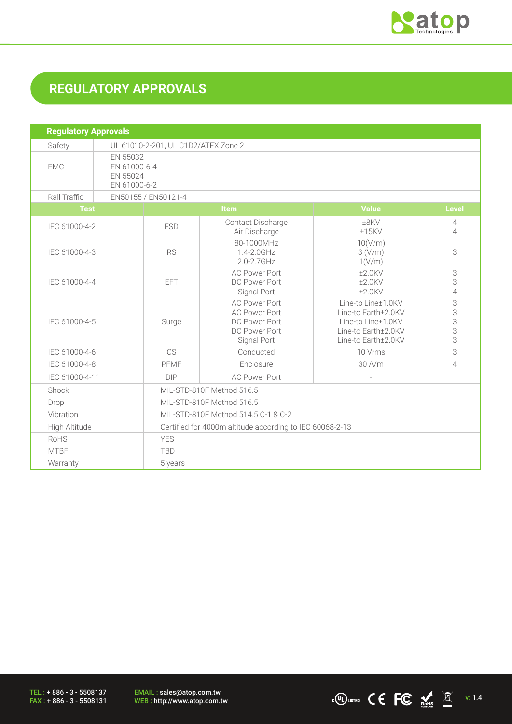

# **REGULATORY APPROVALS**

| <b>Regulatory Approvals</b> |                                                      |                                                          |                                                                                               |                                                                                                               |                       |
|-----------------------------|------------------------------------------------------|----------------------------------------------------------|-----------------------------------------------------------------------------------------------|---------------------------------------------------------------------------------------------------------------|-----------------------|
| Safety                      |                                                      | UL 61010-2-201, UL C1D2/ATEX Zone 2                      |                                                                                               |                                                                                                               |                       |
| <b>EMC</b>                  | EN 55032<br>EN 61000-6-4<br>EN 55024<br>EN 61000-6-2 |                                                          |                                                                                               |                                                                                                               |                       |
| Rall Traffic                |                                                      | EN50155 / EN50121-4                                      |                                                                                               |                                                                                                               |                       |
| <b>Test</b>                 |                                                      |                                                          | Item                                                                                          | <b>Value</b>                                                                                                  | <b>Level</b>          |
| IEC 61000-4-2               | <b>ESD</b>                                           |                                                          | Contact Discharge<br>Air Discharge                                                            | $±8$ KV<br>±15KV                                                                                              | 4<br>4                |
| IEC 61000-4-3               |                                                      | <b>RS</b>                                                | 80-1000MHz<br>1.4-2.0GHz<br>2.0-2.7GHz                                                        | 10(V/m)<br>3(V/m)<br>1(V/m)                                                                                   | 3                     |
| IEC 61000-4-4               |                                                      | <b>EFT</b>                                               | <b>AC Power Port</b><br>DC Power Port<br>Signal Port                                          | $±2.0$ KV<br>$±2.0$ KV<br>$±2.0$ KV                                                                           | 3<br>3<br>4           |
| IEC 61000-4-5               |                                                      | Surge                                                    | <b>AC Power Port</b><br><b>AC Power Port</b><br>DC Power Port<br>DC Power Port<br>Signal Port | Line-to Line±1.0KV<br>Line-to Earth±2.0KV<br>Line-to Line±1.0KV<br>Line-to Earth±2.0KV<br>Line-to Earth±2.0KV | 3<br>3<br>3<br>3<br>3 |
| IEC 61000-4-6               | CS<br>Conducted                                      |                                                          | 10 Vrms                                                                                       | 3                                                                                                             |                       |
| IEC 61000-4-8               | Enclosure<br>PFMF                                    |                                                          | 30 A/m                                                                                        | 4                                                                                                             |                       |
|                             | IEC 61000-4-11<br><b>DIP</b><br><b>AC Power Port</b> |                                                          |                                                                                               |                                                                                                               |                       |
| Shock                       |                                                      | MIL-STD-810F Method 516.5                                |                                                                                               |                                                                                                               |                       |
| Drop                        |                                                      | MIL-STD-810F Method 516.5                                |                                                                                               |                                                                                                               |                       |
| Vibration                   |                                                      | MIL-STD-810F Method 514.5 C-1 & C-2                      |                                                                                               |                                                                                                               |                       |
| High Altitude               |                                                      | Certified for 4000m altitude according to IEC 60068-2-13 |                                                                                               |                                                                                                               |                       |
| RoHS                        |                                                      | <b>YES</b>                                               |                                                                                               |                                                                                                               |                       |
| <b>MTBF</b>                 |                                                      | <b>TBD</b>                                               |                                                                                               |                                                                                                               |                       |
| Warranty                    |                                                      | 5 years                                                  |                                                                                               |                                                                                                               |                       |

TEL : + 886 - 3 - 5508137 FAX : + 886 - 3 - 5508131